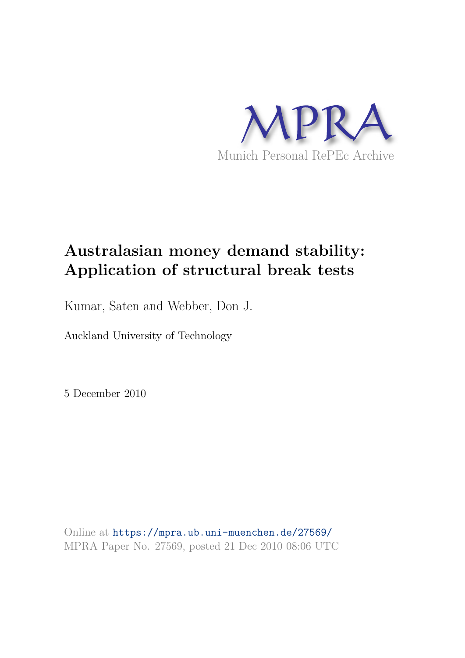

## **Australasian money demand stability: Application of structural break tests**

Kumar, Saten and Webber, Don J.

Auckland University of Technology

5 December 2010

Online at https://mpra.ub.uni-muenchen.de/27569/ MPRA Paper No. 27569, posted 21 Dec 2010 08:06 UTC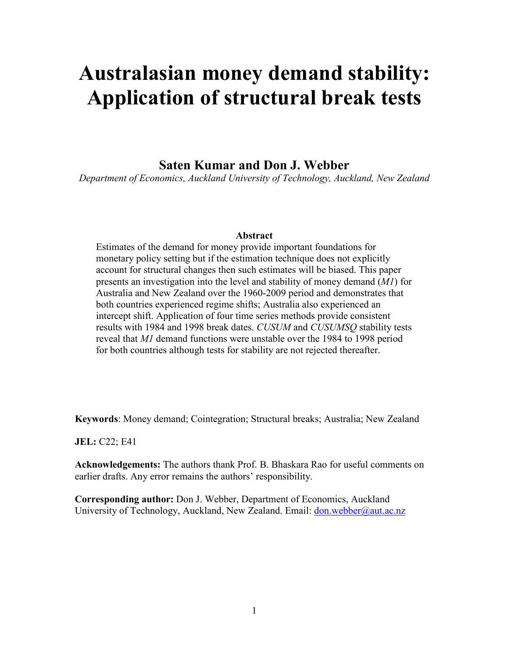# Australasian money demand stability: Application of structural break tests

### Saten Kumar and Don J. Webber

*Department of Economics, Auckland University of Technology, Auckland, New Zealand* 

#### **Abstract**

Estimates of the demand for money provide important foundations for monetary policy setting but if the estimation technique does not explicitly account for structural changes then such estimates will be biased. This paper presents an investigation into the level and stability of money demand (*M1*) for Australia and New Zealand over the 1960-2009 period and demonstrates that both countries experienced regime shifts; Australia also experienced an intercept shift. Application of four time series methods provide consistent results with 1984 and 1998 break dates. *CUSUM* and *CUSUMSQ* stability tests reveal that *M1* demand functions were unstable over the 1984 to 1998 period for both countries although tests for stability are not rejected thereafter.

**Keywords:** Money demand; Cointegration; Structural breaks; Australia; New Zealand

C22; E41

**Acknowledgements:** The authors thank Prof. B. Bhaskara Rao for useful comments on earlier drafts. Any error remains the authors' responsibility.

**Corresponding author:** Don J. Webber, Department of Economics, Auckland University of Technology, Auckland, New Zealand. Email: don.webber@aut.ac.nz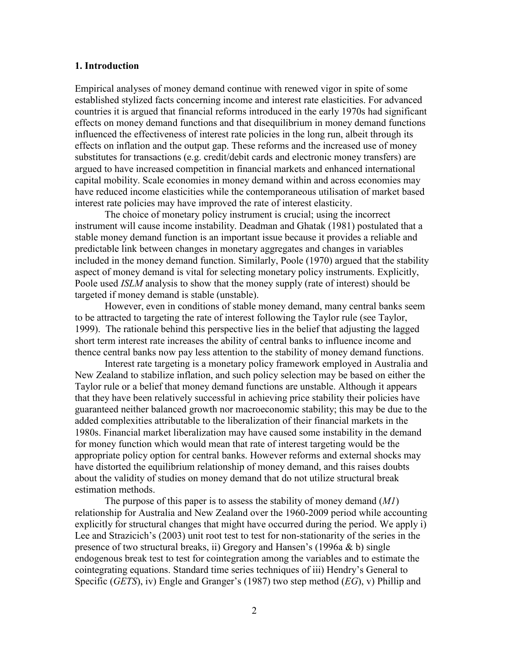#### 1. Introduction

Empirical analyses of money demand continue with renewed vigor in spite of some established stylized facts concerning income and interest rate elasticities. For advanced countries it is argued that financial reforms introduced in the early 1970s had significant effects on money demand functions and that disequilibrium in money demand functions influenced the effectiveness of interest rate policies in the long run, albeit through its effects on inflation and the output gap. These reforms and the increased use of money substitutes for transactions (e.g. credit/debit cards and electronic money transfers) are argued to have increased competition in financial markets and enhanced international capital mobility. Scale economies in money demand within and across economies may have reduced income elasticities while the contemporaneous utilisation of market based interest rate policies may have improved the rate of interest elasticity.

The choice of monetary policy instrument is crucial; using the incorrect instrument will cause income instability. Deadman and Ghatak (1981) postulated that a stable money demand function is an important issue because it provides a reliable and predictable link between changes in monetary aggregates and changes in variables included in the money demand function. Similarly, Poole (1970) argued that the stability aspect of money demand is vital for selecting monetary policy instruments. Explicitly, Poole used *ISLM* analysis to show that the money supply (rate of interest) should be targeted if money demand is stable (unstable).

However, even in conditions of stable money demand, many central banks seem to be attracted to targeting the rate of interest following the Taylor rule (see Taylor, 1999). The rationale behind this perspective lies in the belief that adjusting the lagged short term interest rate increases the ability of central banks to influence income and thence central banks now pay less attention to the stability of money demand functions.

Interest rate targeting is a monetary policy framework employed in Australia and New Zealand to stabilize inflation, and such policy selection may be based on either the Taylor rule or a belief that money demand functions are unstable. Although it appears that they have been relatively successful in achieving price stability their policies have guaranteed neither balanced growth nor macroeconomic stability; this may be due to the added complexities attributable to the liberalization of their financial markets in the 1980s. Financial market liberalization may have caused some instability in the demand for money function which would mean that rate of interest targeting would be the appropriate policy option for central banks. However reforms and external shocks may have distorted the equilibrium relationship of money demand, and this raises doubts about the validity of studies on money demand that do not utilize structural break estimation methods.

The purpose of this paper is to assess the stability of money demand (*M1*) relationship for Australia and New Zealand over the 1960-2009 period while accounting explicitly for structural changes that might have occurred during the period. We apply i) Lee and Strazicich's (2003) unit root test to test for non-stationarity of the series in the presence of two structural breaks, ii) Gregory and Hansen's (1996a & b) single endogenous break test to test for cointegration among the variables and to estimate the cointegrating equations. Standard time series techniques of iii) Hendry's General to Specific (*GETS*), iv) Engle and Granger's (1987) two step method (*EG*), v) Phillip and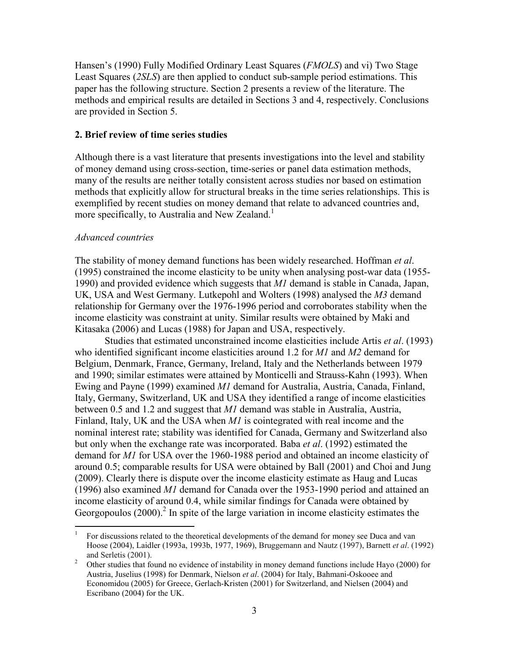Hansen's (1990) Fully Modified Ordinary Least Squares (*FMOLS*) and vi) Two Stage Least Squares (*2SLS*) are then applied to conduct sub-sample period estimations. This paper has the following structure. Section 2 presents a review of the literature. The methods and empirical results are detailed in Sections 3 and 4, respectively. Conclusions are provided in Section 5.

#### 2. Brief review of time series studies

Although there is a vast literature that presents investigations into the level and stability of money demand using cross-section, time-series or panel data estimation methods, many of the results are neither totally consistent across studies nor based on estimation methods that explicitly allow for structural breaks in the time series relationships. This is exemplified by recent studies on money demand that relate to advanced countries and, more specifically, to Australia and New Zealand.<sup>1</sup>

#### *Advanced countries*

The stability of money demand functions has been widely researched. Hoffman *et al*. (1995) constrained the income elasticity to be unity when analysing post-war data (1955- 1990) and provided evidence which suggests that *M1* demand is stable in Canada, Japan, UK, USA and West Germany. Lutkepohl and Wolters (1998) analysed the *M3* demand relationship for Germany over the 1976-1996 period and corroborates stability when the income elasticity was constraint at unity. Similar results were obtained by Maki and Kitasaka (2006) and Lucas (1988) for Japan and USA, respectively.

Studies that estimated unconstrained income elasticities include Artis *et al*. (1993) who identified significant income elasticities around 1.2 for *M1* and *M2* demand for Belgium, Denmark, France, Germany, Ireland, Italy and the Netherlands between 1979 and 1990; similar estimates were attained by Monticelli and Strauss-Kahn (1993). When Ewing and Payne (1999) examined *M1* demand for Australia, Austria, Canada, Finland, Italy, Germany, Switzerland, UK and USA they identified a range of income elasticities between 0.5 and 1.2 and suggest that *M1* demand was stable in Australia, Austria, Finland, Italy, UK and the USA when *M1* is cointegrated with real income and the nominal interest rate; stability was identified for Canada, Germany and Switzerland also but only when the exchange rate was incorporated. Baba *et al*. (1992) estimated the demand for *M1* for USA over the 1960-1988 period and obtained an income elasticity of around 0.5; comparable results for USA were obtained by Ball (2001) and Choi and Jung (2009). Clearly there is dispute over the income elasticity estimate as Haug and Lucas (1996) also examined *M1* demand for Canada over the 1953-1990 period and attained an income elasticity of around 0.4, while similar findings for Canada were obtained by Georgopoulos  $(2000)$ .<sup>2</sup> In spite of the large variation in income elasticity estimates the

 $\frac{1}{1}$  For discussions related to the theoretical developments of the demand for money see Duca and van Hoose (2004), Laidler (1993a, 1993b, 1977, 1969), Bruggemann and Nautz (1997), Barnett *et al*. (1992) and Serletis (2001).

<sup>2</sup> Other studies that found no evidence of instability in money demand functions include Hayo (2000) for Austria, Juselius (1998) for Denmark, Nielson *et al*. (2004) for Italy, Bahmani-Oskooee and Economidou (2005) for Greece, Gerlach-Kristen (2001) for Switzerland, and Nielsen (2004) and Escribano (2004) for the UK.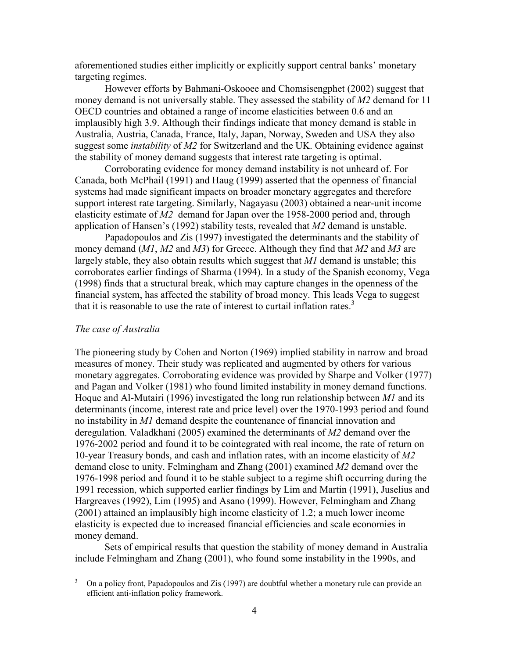aforementioned studies either implicitly or explicitly support central banks' monetary targeting regimes.

However efforts by Bahmani-Oskooee and Chomsisengphet (2002) suggest that money demand is not universally stable. They assessed the stability of *M2* demand for 11 OECD countries and obtained a range of income elasticities between 0.6 and an implausibly high 3.9. Although their findings indicate that money demand is stable in Australia, Austria, Canada, France, Italy, Japan, Norway, Sweden and USA they also suggest some *instability* of *M2* for Switzerland and the UK. Obtaining evidence against the stability of money demand suggests that interest rate targeting is optimal.

Corroborating evidence for money demand instability is not unheard of. For Canada, both McPhail (1991) and Haug (1999) asserted that the openness of financial systems had made significant impacts on broader monetary aggregates and therefore support interest rate targeting. Similarly, Nagayasu (2003) obtained a near-unit income elasticity estimate of *M2* demand for Japan over the 1958-2000 period and, through application of Hansen's (1992) stability tests, revealed that *M2* demand is unstable.

Papadopoulos and Zis (1997) investigated the determinants and the stability of money demand (*M1*, *M2* and *M3*) for Greece. Although they find that *M2* and *M3* are largely stable, they also obtain results which suggest that *M1* demand is unstable; this corroborates earlier findings of Sharma (1994). In a study of the Spanish economy, Vega (1998) finds that a structural break, which may capture changes in the openness of the financial system, has affected the stability of broad money. This leads Vega to suggest that it is reasonable to use the rate of interest to curtail inflation rates.<sup>3</sup>

#### *The case of Australia*

The pioneering study by Cohen and Norton (1969) implied stability in narrow and broad measures of money. Their study was replicated and augmented by others for various monetary aggregates. Corroborating evidence was provided by Sharpe and Volker (1977) and Pagan and Volker (1981) who found limited instability in money demand functions. Hoque and Al-Mutairi (1996) investigated the long run relationship between *M1* and its determinants (income, interest rate and price level) over the 1970-1993 period and found no instability in *M1* demand despite the countenance of financial innovation and deregulation. Valadkhani (2005) examined the determinants of *M2* demand over the 1976-2002 period and found it to be cointegrated with real income, the rate of return on 10-year Treasury bonds, and cash and inflation rates, with an income elasticity of *M2*  demand close to unity. Felmingham and Zhang (2001) examined *M2* demand over the 1976-1998 period and found it to be stable subject to a regime shift occurring during the 1991 recession, which supported earlier findings by Lim and Martin (1991), Juselius and Hargreaves (1992), Lim (1995) and Asano (1999). However, Felmingham and Zhang (2001) attained an implausibly high income elasticity of 1.2; a much lower income elasticity is expected due to increased financial efficiencies and scale economies in money demand.

Sets of empirical results that question the stability of money demand in Australia include Felmingham and Zhang (2001), who found some instability in the 1990s, and

<sup>&</sup>lt;sup>2</sup><br>3 On a policy front, Papadopoulos and Zis (1997) are doubtful whether a monetary rule can provide an efficient anti-inflation policy framework.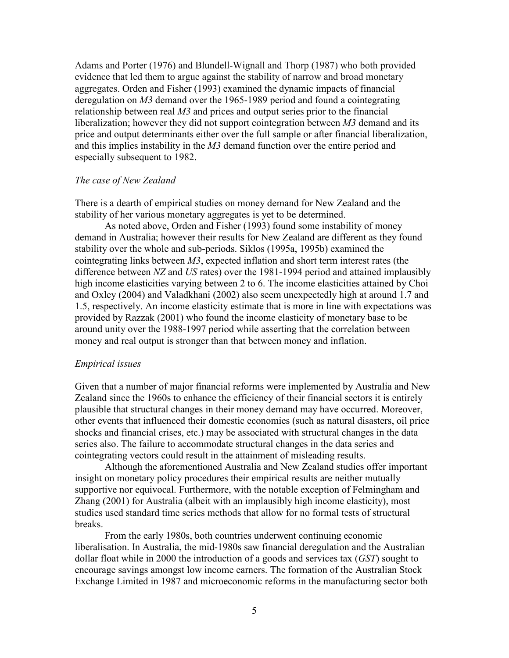Adams and Porter (1976) and Blundell-Wignall and Thorp (1987) who both provided evidence that led them to argue against the stability of narrow and broad monetary aggregates. Orden and Fisher (1993) examined the dynamic impacts of financial deregulation on *M3* demand over the 1965-1989 period and found a cointegrating relationship between real *M3* and prices and output series prior to the financial liberalization; however they did not support cointegration between *M3* demand and its price and output determinants either over the full sample or after financial liberalization, and this implies instability in the *M3* demand function over the entire period and especially subsequent to 1982.

#### *The case of New Zealand*

There is a dearth of empirical studies on money demand for New Zealand and the stability of her various monetary aggregates is yet to be determined.

As noted above, Orden and Fisher (1993) found some instability of money demand in Australia; however their results for New Zealand are different as they found stability over the whole and sub-periods. Siklos (1995a, 1995b) examined the cointegrating links between *M3*, expected inflation and short term interest rates (the difference between *NZ* and *US* rates) over the 1981-1994 period and attained implausibly high income elasticities varying between 2 to 6. The income elasticities attained by Choi and Oxley (2004) and Valadkhani (2002) also seem unexpectedly high at around 1.7 and 1.5, respectively. An income elasticity estimate that is more in line with expectations was provided by Razzak (2001) who found the income elasticity of monetary base to be around unity over the 1988-1997 period while asserting that the correlation between money and real output is stronger than that between money and inflation.

#### *Empirical issues*

Given that a number of major financial reforms were implemented by Australia and New Zealand since the 1960s to enhance the efficiency of their financial sectors it is entirely plausible that structural changes in their money demand may have occurred. Moreover, other events that influenced their domestic economies (such as natural disasters, oil price shocks and financial crises, etc.) may be associated with structural changes in the data series also. The failure to accommodate structural changes in the data series and cointegrating vectors could result in the attainment of misleading results.

Although the aforementioned Australia and New Zealand studies offer important insight on monetary policy procedures their empirical results are neither mutually supportive nor equivocal. Furthermore, with the notable exception of Felmingham and Zhang (2001) for Australia (albeit with an implausibly high income elasticity), most studies used standard time series methods that allow for no formal tests of structural breaks.

From the early 1980s, both countries underwent continuing economic liberalisation. In Australia, the mid-1980s saw financial deregulation and the Australian dollar float while in 2000 the introduction of a goods and services tax (*GST*) sought to encourage savings amongst low income earners. The formation of the Australian Stock Exchange Limited in 1987 and microeconomic reforms in the manufacturing sector both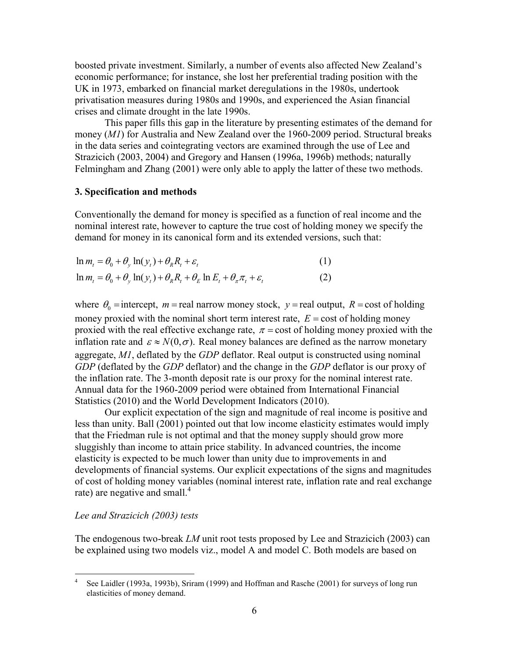boosted private investment. Similarly, a number of events also affected New Zealand's economic performance; for instance, she lost her preferential trading position with the UK in 1973, embarked on financial market deregulations in the 1980s, undertook privatisation measures during 1980s and 1990s, and experienced the Asian financial crises and climate drought in the late 1990s.

This paper fills this gap in the literature by presenting estimates of the demand for money (*M1*) for Australia and New Zealand over the 1960-2009 period. Structural breaks in the data series and cointegrating vectors are examined through the use of Lee and Strazicich (2003, 2004) and Gregory and Hansen (1996a, 1996b) methods; naturally Felmingham and Zhang (2001) were only able to apply the latter of these two methods.

#### 3. Specification and methods

Conventionally the demand for money is specified as a function of real income and the nominal interest rate, however to capture the true cost of holding money we specify the demand for money in its canonical form and its extended versions, such that:

$$
\ln m_t = \theta_0 + \theta_y \ln(y_t) + \theta_R R_t + \varepsilon_t
$$
\n(1)

$$
\ln m_t = \theta_0 + \theta_y \ln(y_t) + \theta_R R_t + \theta_E \ln E_t + \theta_\pi \pi_t + \varepsilon_t
$$
 (2)

where  $\theta_0$  = intercept,  $m$  = real narrow money stock,  $y$  = real output,  $R$  = cost of holding money proxied with the nominal short term interest rate,  $E = \text{cost of holding money}$ proxied with the real effective exchange rate,  $\pi$  = cost of holding money proxied with the inflation rate and  $\varepsilon \approx N(0, \sigma)$ . Real money balances are defined as the narrow monetary aggregate, *M1*, deflated by the *GDP* deflator. Real output is constructed using nominal *GDP* (deflated by the *GDP* deflator) and the change in the *GDP* deflator is our proxy of the inflation rate. The 3-month deposit rate is our proxy for the nominal interest rate. Annual data for the 1960-2009 period were obtained from International Financial Statistics (2010) and the World Development Indicators (2010).

Our explicit expectation of the sign and magnitude of real income is positive and less than unity. Ball (2001) pointed out that low income elasticity estimates would imply that the Friedman rule is not optimal and that the money supply should grow more sluggishly than income to attain price stability. In advanced countries, the income elasticity is expected to be much lower than unity due to improvements in and developments of financial systems. Our explicit expectations of the signs and magnitudes of cost of holding money variables (nominal interest rate, inflation rate and real exchange rate) are negative and small.<sup>4</sup>

#### *Lee and Strazicich (2003) tests*

The endogenous two-break *LM* unit root tests proposed by Lee and Strazicich (2003) can be explained using two models viz., model A and model C. Both models are based on

 $\frac{1}{4}$  See Laidler (1993a, 1993b), Sriram (1999) and Hoffman and Rasche (2001) for surveys of long run elasticities of money demand.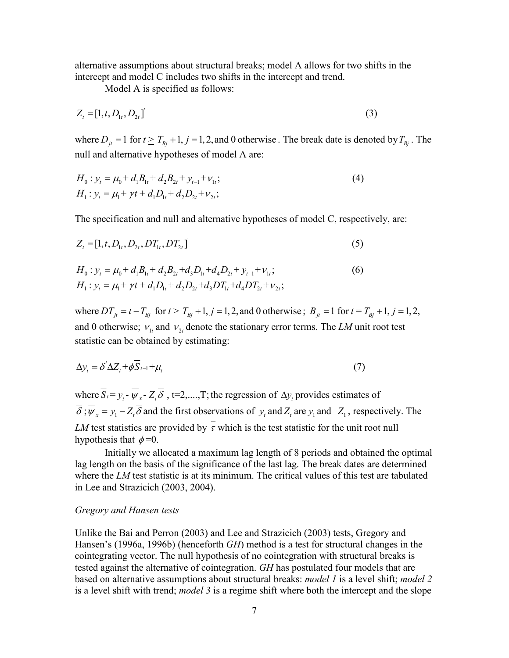alternative assumptions about structural breaks; model A allows for two shifts in the intercept and model C includes two shifts in the intercept and trend.

Model A is specified as follows:

$$
Z_{t} = [1, t, D_{1t}, D_{2t}] \tag{3}
$$

where  $D_{it} = 1$  for  $t \geq T_{Bi} + 1$ ,  $j = 1, 2$ , and 0 otherwise. The break date is denoted by  $T_{Bi}$ . The null and alternative hypotheses of model A are:

$$
H_0: y_t = \mu_0 + d_1 B_{1t} + d_2 B_{2t} + y_{t-1} + v_{1t};
$$
  
\n
$$
H_1: y_t = \mu_1 + \gamma t + d_1 D_{1t} + d_2 D_{2t} + v_{2t};
$$
\n(4)

The specification and null and alternative hypotheses of model C, respectively, are:

$$
Z_{t} = [1, t, D_{1t}, D_{2t}, DT_{1t}, DT_{2t}]
$$
\n(5)

$$
H_0: y_t = \mu_0 + d_1 B_{1t} + d_2 B_{2t} + d_3 D_{1t} + d_4 D_{2t} + y_{t-1} + v_{1t};
$$
  
\n
$$
H_1: y_t = \mu_1 + \gamma t + d_1 D_{1t} + d_2 D_{2t} + d_3 D T_{1t} + d_4 D T_{2t} + v_{2t};
$$
\n(6)

where  $DT_{jt} = t - T_{Bj}$  for  $t \ge T_{Bj} + 1$ ,  $j = 1, 2$ , and 0 otherwise;  $B_{jt} = 1$  for  $t = T_{Bj} + 1$ ,  $j = 1, 2$ , and 0 otherwise;  $v_{1t}$  and  $v_{2t}$  denote the stationary error terms. The *LM* unit root test statistic can be obtained by estimating:

$$
\Delta y_t = \delta' \Delta Z_t + \phi S_{t-1} + \mu_t \tag{7}
$$

where  $S_t = y_t - \psi_x - Z_t \delta$ ,  $t = 2, \dots, T$ ; the regression of  $\Delta y_t$  provides estimates of  $\delta$ ;  $\psi_x = y_1 - Z_t \delta$  and the first observations of  $y_t$  and  $Z_t$  are  $y_1$  and  $Z_1$ , respectively. The *LM* test statistics are provided by  $\bar{\tau}$  which is the test statistic for the unit root null hypothesis that  $\phi = 0$ .

Initially we allocated a maximum lag length of 8 periods and obtained the optimal lag length on the basis of the significance of the last lag. The break dates are determined where the *LM* test statistic is at its minimum. The critical values of this test are tabulated in Lee and Strazicich (2003, 2004).

#### *Gregory and Hansen tests*

Unlike the Bai and Perron (2003) and Lee and Strazicich (2003) tests, Gregory and Hansen's (1996a, 1996b) (henceforth *GH*) method is a test for structural changes in the cointegrating vector. The null hypothesis of no cointegration with structural breaks is tested against the alternative of cointegration. *GH* has postulated four models that are based on alternative assumptions about structural breaks: *model 1* is a level shift; *model 2* is a level shift with trend; *model 3* is a regime shift where both the intercept and the slope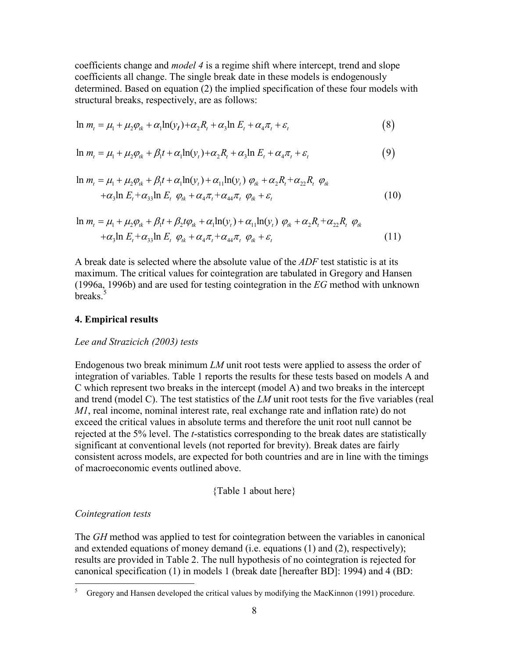coefficients change and *model 4* is a regime shift where intercept, trend and slope coefficients all change. The single break date in these models is endogenously determined. Based on equation (2) the implied specification of these four models with structural breaks, respectively, are as follows:

$$
\ln m_t = \mu_1 + \mu_2 \varphi_{ik} + \alpha_1 \ln(y_t) + \alpha_2 R_t + \alpha_3 \ln E_t + \alpha_4 \pi_t + \varepsilon_t
$$
\n(8)

$$
\ln m_t = \mu_1 + \mu_2 \varphi_{ik} + \beta_1 t + \alpha_1 \ln(y_t) + \alpha_2 R_t + \alpha_3 \ln E_t + \alpha_4 \pi_t + \varepsilon_t \tag{9}
$$

$$
\ln m_t = \mu_1 + \mu_2 \varphi_{ik} + \beta_1 t + \alpha_1 \ln(y_t) + \alpha_{11} \ln(y_t) \varphi_{ik} + \alpha_2 R_t + \alpha_{22} R_t \varphi_{ik}
$$
  
+
$$
\alpha_3 \ln E_t + \alpha_{33} \ln E_t \varphi_{ik} + \alpha_4 \pi_t + \alpha_{44} \pi_t \varphi_{ik} + \varepsilon_t
$$
 (10)

$$
\ln m_t = \mu_1 + \mu_2 \varphi_{ik} + \beta_1 t + \beta_2 t \varphi_{ik} + \alpha_1 \ln(\gamma_t) + \alpha_{11} \ln(\gamma_t) \varphi_{ik} + \alpha_2 R_t + \alpha_{22} R_t \varphi_{ik}
$$
  
+ $\alpha_3 \ln E_t + \alpha_{33} \ln E_t \varphi_{ik} + \alpha_4 \pi_t + \alpha_{44} \pi_t \varphi_{ik} + \varepsilon_t$  (11)

A break date is selected where the absolute value of the *ADF* test statistic is at its maximum. The critical values for cointegration are tabulated in Gregory and Hansen (1996a, 1996b) and are used for testing cointegration in the *EG* method with unknown breaks<sup>5</sup>

#### **4. Empirical results**

#### *Lee and Strazicich (2003) tests*

Endogenous two break minimum *LM* unit root tests were applied to assess the order of integration of variables. Table 1 reports the results for these tests based on models A and C which represent two breaks in the intercept (model A) and two breaks in the intercept and trend (model C). The test statistics of the *LM* unit root tests for the five variables (real *M1*, real income, nominal interest rate, real exchange rate and inflation rate) do not exceed the critical values in absolute terms and therefore the unit root null cannot be rejected at the 5% level. The *t*-statistics corresponding to the break dates are statistically significant at conventional levels (not reported for brevity). Break dates are fairly consistent across models, are expected for both countries and are in line with the timings of macroeconomic events outlined above.

#### {Table 1 about here}

#### *Cointegration tests*

 $\overline{a}$ 

The *GH* method was applied to test for cointegration between the variables in canonical and extended equations of money demand (i.e. equations (1) and (2), respectively); results are provided in Table 2. The null hypothesis of no cointegration is rejected for canonical specification (1) in models 1 (break date [hereafter BD]: 1994) and 4 (BD:

<sup>5</sup> Gregory and Hansen developed the critical values by modifying the MacKinnon (1991) procedure.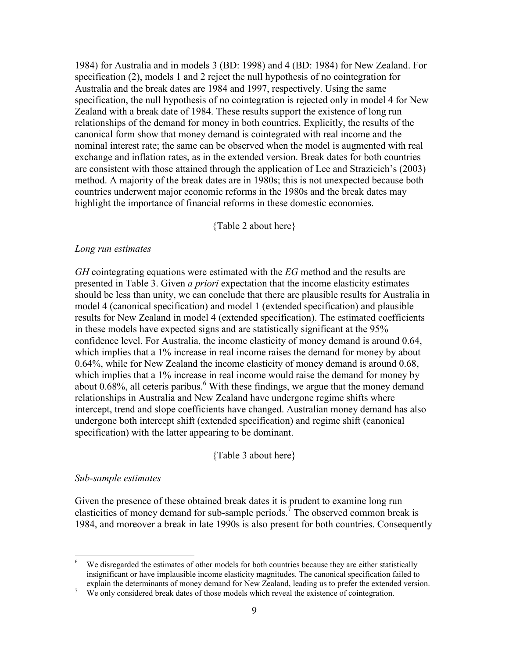1984) for Australia and in models 3 (BD: 1998) and 4 (BD: 1984) for New Zealand. For specification (2), models 1 and 2 reject the null hypothesis of no cointegration for Australia and the break dates are 1984 and 1997, respectively. Using the same specification, the null hypothesis of no cointegration is rejected only in model 4 for New Zealand with a break date of 1984. These results support the existence of long run relationships of the demand for money in both countries. Explicitly, the results of the canonical form show that money demand is cointegrated with real income and the nominal interest rate; the same can be observed when the model is augmented with real exchange and inflation rates, as in the extended version. Break dates for both countries are consistent with those attained through the application of Lee and Strazicich's (2003) method. A majority of the break dates are in 1980s; this is not unexpected because both countries underwent major economic reforms in the 1980s and the break dates may highlight the importance of financial reforms in these domestic economies.

#### {Table 2 about here}

#### *Long run estimates*

*GH* cointegrating equations were estimated with the *EG* method and the results are presented in Table 3. Given *a priori* expectation that the income elasticity estimates should be less than unity, we can conclude that there are plausible results for Australia in model 4 (canonical specification) and model 1 (extended specification) and plausible results for New Zealand in model 4 (extended specification). The estimated coefficients in these models have expected signs and are statistically significant at the 95% confidence level. For Australia, the income elasticity of money demand is around 0.64, which implies that a 1% increase in real income raises the demand for money by about 0.64%, while for New Zealand the income elasticity of money demand is around 0.68, which implies that a 1% increase in real income would raise the demand for money by about  $0.68\%$ , all ceteris paribus.<sup>6</sup> With these findings, we argue that the money demand relationships in Australia and New Zealand have undergone regime shifts where intercept, trend and slope coefficients have changed. Australian money demand has also undergone both intercept shift (extended specification) and regime shift (canonical specification) with the latter appearing to be dominant.

#### {Table 3 about here}

#### *Sub-sample estimates*

 $\overline{a}$ 

Given the presence of these obtained break dates it is prudent to examine long run elasticities of money demand for sub-sample periods.<sup>7</sup> The observed common break is 1984, and moreover a break in late 1990s is also present for both countries. Consequently

<sup>6</sup> We disregarded the estimates of other models for both countries because they are either statistically insignificant or have implausible income elasticity magnitudes. The canonical specification failed to explain the determinants of money demand for New Zealand, leading us to prefer the extended version.

<sup>7</sup> We only considered break dates of those models which reveal the existence of cointegration.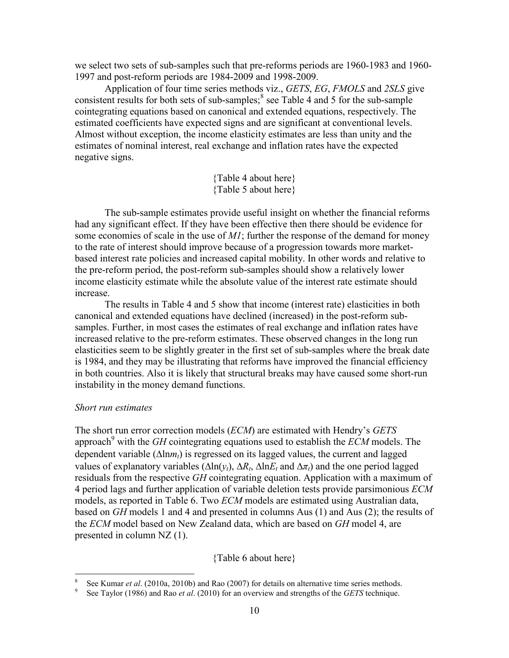we select two sets of sub-samples such that pre-reforms periods are 1960-1983 and 1960- 1997 and post-reform periods are 1984-2009 and 1998-2009.

Application of four time series methods viz., *GETS*, *EG*, *FMOLS* and *2SLS* give consistent results for both sets of sub-samples; $<sup>8</sup>$  see Table 4 and 5 for the sub-sample</sup> cointegrating equations based on canonical and extended equations, respectively. The estimated coefficients have expected signs and are significant at conventional levels. Almost without exception, the income elasticity estimates are less than unity and the estimates of nominal interest, real exchange and inflation rates have the expected negative signs.

> {Table 4 about here} {Table 5 about here}

The sub-sample estimates provide useful insight on whether the financial reforms had any significant effect. If they have been effective then there should be evidence for some economies of scale in the use of *M1*; further the response of the demand for money to the rate of interest should improve because of a progression towards more marketbased interest rate policies and increased capital mobility. In other words and relative to the pre-reform period, the post-reform sub-samples should show a relatively lower income elasticity estimate while the absolute value of the interest rate estimate should increase.

The results in Table 4 and 5 show that income (interest rate) elasticities in both canonical and extended equations have declined (increased) in the post-reform subsamples. Further, in most cases the estimates of real exchange and inflation rates have increased relative to the pre-reform estimates. These observed changes in the long run elasticities seem to be slightly greater in the first set of sub-samples where the break date is 1984, and they may be illustrating that reforms have improved the financial efficiency in both countries. Also it is likely that structural breaks may have caused some short-run instability in the money demand functions.

#### *Short run estimates*

 $\overline{a}$ 

The short run error correction models (*ECM*) are estimated with Hendry's *GETS* approach<sup>9</sup> with the *GH* cointegrating equations used to establish the *ECM* models. The dependent variable (∆ln*mt*) is regressed on its lagged values, the current and lagged values of explanatory variables ( $\Delta \ln(y_t)$ ,  $\Delta R_t$ ,  $\Delta \ln E_t$  and  $\Delta \pi_t$ ) and the one period lagged residuals from the respective *GH* cointegrating equation. Application with a maximum of 4 period lags and further application of variable deletion tests provide parsimonious *ECM* models, as reported in Table 6. Two *ECM* models are estimated using Australian data, based on *GH* models 1 and 4 and presented in columns Aus (1) and Aus (2); the results of the *ECM* model based on New Zealand data, which are based on *GH* model 4, are presented in column NZ (1).

{Table 6 about here}

<sup>8</sup> See Kumar *et al*. (2010a, 2010b) and Rao (2007) for details on alternative time series methods.

<sup>9</sup> See Taylor (1986) and Rao *et al*. (2010) for an overview and strengths of the *GETS* technique.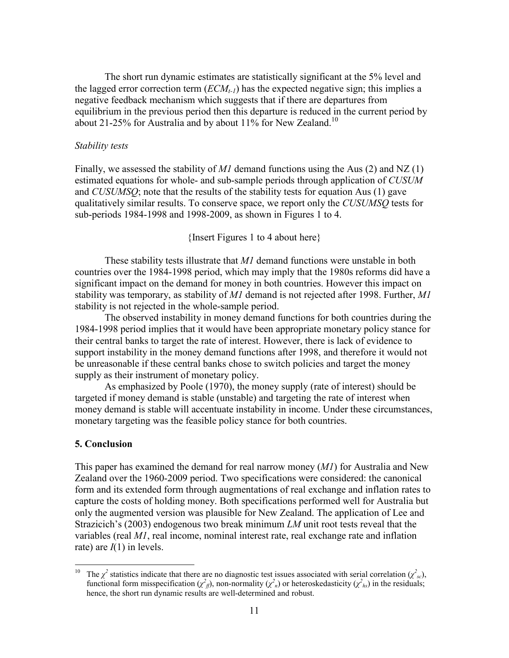The short run dynamic estimates are statistically significant at the 5% level and the lagged error correction term  $(ECM<sub>t-1</sub>)$  has the expected negative sign; this implies a negative feedback mechanism which suggests that if there are departures from equilibrium in the previous period then this departure is reduced in the current period by about 21-25% for Australia and by about 11% for New Zealand.<sup>10</sup>

#### *Stability tests*

Finally, we assessed the stability of *M1* demand functions using the Aus (2) and NZ (1) estimated equations for whole- and sub-sample periods through application of *CUSUM* and *CUSUMSQ*; note that the results of the stability tests for equation Aus (1) gave qualitatively similar results. To conserve space, we report only the *CUSUMSQ* tests for sub-periods 1984-1998 and 1998-2009, as shown in Figures 1 to 4.

{Insert Figures 1 to 4 about here}

These stability tests illustrate that *M1* demand functions were unstable in both countries over the 1984-1998 period, which may imply that the 1980s reforms did have a significant impact on the demand for money in both countries. However this impact on stability was temporary, as stability of *M1* demand is not rejected after 1998. Further, *M1* stability is not rejected in the whole-sample period.

The observed instability in money demand functions for both countries during the 1984-1998 period implies that it would have been appropriate monetary policy stance for their central banks to target the rate of interest. However, there is lack of evidence to support instability in the money demand functions after 1998, and therefore it would not be unreasonable if these central banks chose to switch policies and target the money supply as their instrument of monetary policy.

As emphasized by Poole (1970), the money supply (rate of interest) should be targeted if money demand is stable (unstable) and targeting the rate of interest when money demand is stable will accentuate instability in income. Under these circumstances, monetary targeting was the feasible policy stance for both countries.

#### 5. Conclusion

This paper has examined the demand for real narrow money (*M1*) for Australia and New Zealand over the 1960-2009 period. Two specifications were considered: the canonical form and its extended form through augmentations of real exchange and inflation rates to capture the costs of holding money. Both specifications performed well for Australia but only the augmented version was plausible for New Zealand. The application of Lee and Strazicich's (2003) endogenous two break minimum *LM* unit root tests reveal that the variables (real *M1*, real income, nominal interest rate, real exchange rate and inflation rate) are *I*(1) in levels.

 $10\,$ <sup>10</sup> The  $\chi^2$  statistics indicate that there are no diagnostic test issues associated with serial correlation ( $\chi^2_{sc}$ ), functional form misspecification ( $\chi^2_{\text{ff}}$ ), non-normality ( $\chi^2_{\text{n}}$ ) or heteroskedasticity ( $\chi^2_{\text{hs}}$ ) in the residuals; hence, the short run dynamic results are well-determined and robust.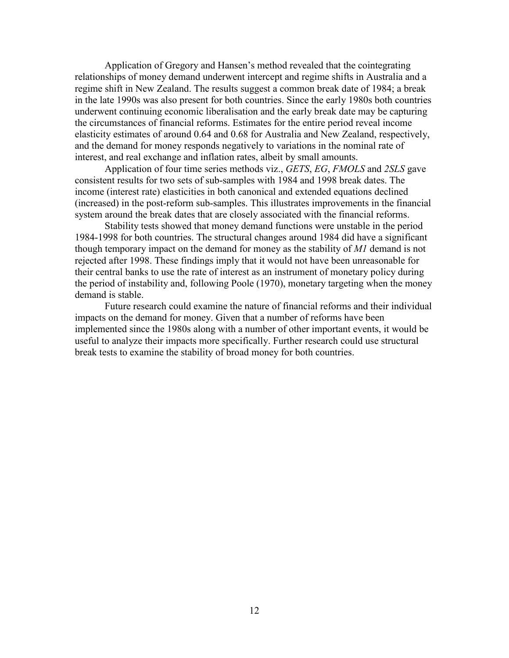Application of Gregory and Hansen's method revealed that the cointegrating relationships of money demand underwent intercept and regime shifts in Australia and a regime shift in New Zealand. The results suggest a common break date of 1984; a break in the late 1990s was also present for both countries. Since the early 1980s both countries underwent continuing economic liberalisation and the early break date may be capturing the circumstances of financial reforms. Estimates for the entire period reveal income elasticity estimates of around 0.64 and 0.68 for Australia and New Zealand, respectively, and the demand for money responds negatively to variations in the nominal rate of interest, and real exchange and inflation rates, albeit by small amounts.

 Application of four time series methods viz., *GETS*, *EG*, *FMOLS* and *2SLS* gave consistent results for two sets of sub-samples with 1984 and 1998 break dates. The income (interest rate) elasticities in both canonical and extended equations declined (increased) in the post-reform sub-samples. This illustrates improvements in the financial system around the break dates that are closely associated with the financial reforms.

 Stability tests showed that money demand functions were unstable in the period 1984-1998 for both countries. The structural changes around 1984 did have a significant though temporary impact on the demand for money as the stability of *M1* demand is not rejected after 1998. These findings imply that it would not have been unreasonable for their central banks to use the rate of interest as an instrument of monetary policy during the period of instability and, following Poole (1970), monetary targeting when the money demand is stable.

 Future research could examine the nature of financial reforms and their individual impacts on the demand for money. Given that a number of reforms have been implemented since the 1980s along with a number of other important events, it would be useful to analyze their impacts more specifically. Further research could use structural break tests to examine the stability of broad money for both countries.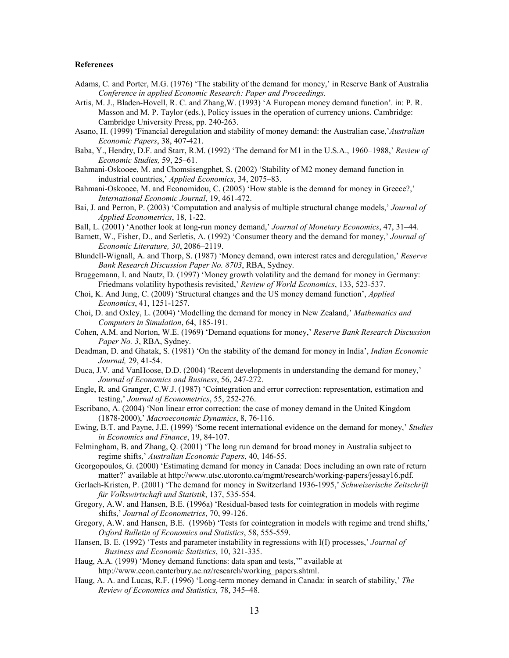#### **References**

- Adams, C. and Porter, M.G. (1976) 'The stability of the demand for money,' in Reserve Bank of Australia *Conference in applied Economic Research: Paper and Proceedings.*
- Artis, M. J., Bladen-Hovell, R. C. and Zhang,W. (1993) 'A European money demand function'. in: P. R. Masson and M. P. Taylor (eds.), Policy issues in the operation of currency unions. Cambridge: Cambridge University Press, pp. 240-263.
- Asano, H. (1999) 'Financial deregulation and stability of money demand: the Australian case,'*Australian Economic Papers*, 38, 407-421.
- Baba, Y., Hendry, D.F. and Starr, R.M. (1992) 'The demand for M1 in the U.S.A., 1960–1988,' *Review of Economic Studies,* 59, 25–61.
- Bahmani-Oskooee, M. and Chomsisengphet, S. (2002) 'Stability of M2 money demand function in industrial countries,' *Applied Economics*, 34, 2075–83.
- Bahmani-Oskooee, M. and Economidou, C. (2005) 'How stable is the demand for money in Greece?,' *International Economic Journal*, 19, 461-472.
- Bai, J. and Perron, P. (2003) 'Computation and analysis of multiple structural change models,' *Journal of Applied Econometrics*, 18, 1-22.
- Ball, L. (2001) 'Another look at long-run money demand,' *Journal of Monetary Economics*, 47, 31–44.
- Barnett, W., Fisher, D., and Serletis, A. (1992) 'Consumer theory and the demand for money,' *Journal of Economic Literature, 30*, 2086–2119.
- Blundell-Wignall, A. and Thorp, S. (1987) 'Money demand, own interest rates and deregulation,' *Reserve Bank Research Discussion Paper No. 8703*, RBA, Sydney.
- Bruggemann, I. and Nautz, D. (1997) 'Money growth volatility and the demand for money in Germany: Friedmans volatility hypothesis revisited,' *Review of World Economics*, 133, 523-537.
- Choi, K. And Jung, C. (2009) 'Structural changes and the US money demand function', *Applied Economics*, 41, 1251-1257.
- Choi, D. and Oxley, L. (2004) 'Modelling the demand for money in New Zealand,' *Mathematics and Computers in Simulation*, 64, 185-191.
- Cohen, A.M. and Norton, W.E. (1969) 'Demand equations for money,' *Reserve Bank Research Discussion Paper No. 3*, RBA, Sydney.
- Deadman, D. and Ghatak, S. (1981) 'On the stability of the demand for money in India', *Indian Economic Journal,* 29, 41-54.
- Duca, J.V. and VanHoose, D.D. (2004) 'Recent developments in understanding the demand for money,' *Journal of Economics and Business*, 56, 247-272.
- Engle, R. and Granger, C.W.J. (1987) 'Cointegration and error correction: representation, estimation and testing,' *Journal of Econometrics*, 55, 252-276.
- Escribano, A. (2004) 'Non linear error correction: the case of money demand in the United Kingdom (1878-2000),' *Macroeconomic Dynamics*, 8, 76-116.
- Ewing, B.T. and Payne, J.E. (1999) 'Some recent international evidence on the demand for money,' *Studies in Economics and Finance*, 19, 84-107.
- Felmingham, B. and Zhang, Q. (2001) 'The long run demand for broad money in Australia subject to regime shifts,' *Australian Economic Papers*, 40, 146-55.
- Georgopoulos, G. (2000) 'Estimating demand for money in Canada: Does including an own rate of return matter?' available at http://www.utsc.utoronto.ca/mgmt/research/working-papers/jessay16.pdf.
- Gerlach-Kristen, P. (2001) 'The demand for money in Switzerland 1936-1995,' *Schweizerische Zeitschrift für Volkswirtschaft und Statistik*, 137, 535-554.
- Gregory, A.W. and Hansen, B.E. (1996a) 'Residual-based tests for cointegration in models with regime shifts,' *Journal of Econometrics*, 70, 99-126.
- Gregory, A.W. and Hansen, B.E. (1996b) 'Tests for cointegration in models with regime and trend shifts,' *Oxford Bulletin of Economics and Statistics*, 58, 555-559.
- Hansen, B. E. (1992) 'Tests and parameter instability in regressions with I(I) processes,' *Journal of Business and Economic Statistics*, 10, 321-335.
- Haug, A.A. (1999) 'Money demand functions: data span and tests,'" available at http://www.econ.canterbury.ac.nz/research/working\_papers.shtml.
- Haug, A. A. and Lucas, R.F. (1996) 'Long-term money demand in Canada: in search of stability,' *The Review of Economics and Statistics,* 78, 345–48.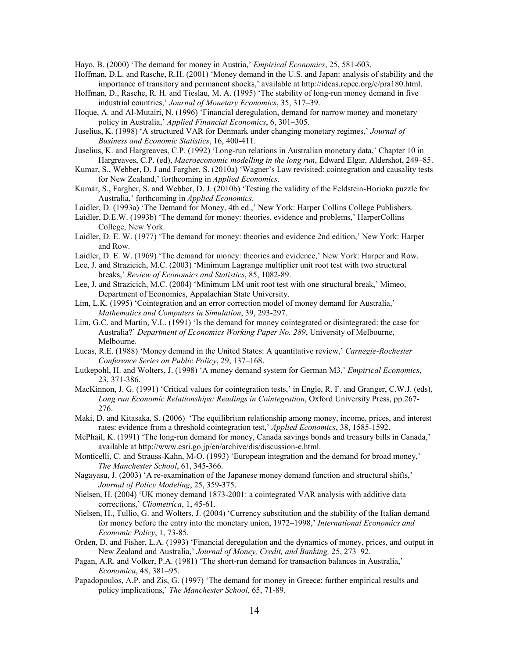Hayo, B. (2000) 'The demand for money in Austria,' *Empirical Economics*, 25, 581-603.

- Hoffman, D.L. and Rasche, R.H. (2001) 'Money demand in the U.S. and Japan: analysis of stability and the importance of transitory and permanent shocks,' available at <http://ideas.repec.org/e/pra180.html>.
- Hoffman, D., Rasche, R. H. and Tieslau, M. A. (1995) 'The stability of long-run money demand in five industrial countries,' *Journal of Monetary Economics*, 35, 317–39.
- Hoque, A. and Al-Mutairi, N. (1996) 'Financial deregulation, demand for narrow money and monetary policy in Australia,' *Applied Financial Economics*, 6, 301–305.
- Juselius, K. (1998) 'A structured VAR for Denmark under changing monetary regimes,' *Journal of Business and Economic Statistics*, 16, 400-411.
- Juselius, K. and Hargreaves, C.P. (1992) 'Long-run relations in Australian monetary data,' Chapter 10 in Hargreaves, C.P. (ed), *Macroeconomic modelling in the long run*, Edward Elgar, Aldershot, 249–85.
- Kumar, S., Webber, D. J and Fargher, S. (2010a) 'Wagner's Law revisited: cointegration and causality tests for New Zealand,' forthcoming in *Applied Economics.*
- Kumar, S., Fargher, S. and Webber, D. J. (2010b) 'Testing the validity of the Feldstein-Horioka puzzle for Australia,' forthcoming in *Applied Economics*.
- Laidler, D. (1993a) 'The Demand for Money, 4th ed.,' New York: Harper Collins College Publishers.
- Laidler, D.E.W. (1993b) 'The demand for money: theories, evidence and problems,' HarperCollins College, New York.
- Laidler, D. E. W. (1977) 'The demand for money: theories and evidence 2nd edition,' New York: Harper and Row.
- Laidler, D. E. W. (1969) 'The demand for money: theories and evidence,' New York: Harper and Row.
- Lee, J. and Strazicich, M.C. (2003) 'Minimum Lagrange multiplier unit root test with two structural breaks,' *Review of Economics and Statistics*, 85, 1082-89.
- Lee, J. and Strazicich, M.C. (2004) 'Minimum LM unit root test with one structural break,' Mimeo, Department of Economics, Appalachian State University.
- Lim, L.K. (1995) 'Cointegration and an error correction model of money demand for Australia,' *Mathematics and Computers in Simulation*, 39, 293-297.
- Lim, G.C. and Martin, V.L. (1991) 'Is the demand for money cointegrated or disintegrated: the case for Australia?' *Department of Economics Working Paper No. 289*, University of Melbourne, Melbourne.
- Lucas, R.E. (1988) 'Money demand in the United States: A quantitative review,' *Carnegie-Rochester Conference Series on Public Policy*, 29, 137–168.
- Lutkepohl, H. and Wolters, J. (1998) 'A money demand system for German M3,' *Empirical Economics*, 23, 371-386.
- MacKinnon, J. G. (1991) 'Critical values for cointegration tests,' in Engle, R. F. and Granger, C.W.J. (eds), *Long run Economic Relationships: Readings in Cointegration*, Oxford University Press, pp.267- 276.
- Maki, D. and Kitasaka, S. (2006) 'The equilibrium relationship among money, income, prices, and interest rates: evidence from a threshold cointegration test,' *[Applied Economics](http://econpapers.repec.org/article/tafapplec/)*, 38, 1585-1592.
- McPhail, K. (1991) 'The long-run demand for money, Canada savings bonds and treasury bills in Canada,' available at<http://www.esri.go.jp/en/archive/dis/discussion-e.html>.
- Monticelli, C. and Strauss-Kahn, M-O. (1993) 'European integration and the demand for broad money,' *The Manchester School*, 61, 345-366.
- Nagayasu, J. (2003) 'A re-examination of the Japanese money demand function and structural shifts,' *Journal of Policy Modeling*, 25, 359-375.
- Nielsen, H. (2004) 'UK money demand 1873-2001: a cointegrated VAR analysis with additive data corrections,' *[Cliometrica](http://www.springerlink.com/content/120412/?p=741a0cae98ab4f4484d13160719996e1&pi=0)*, 1, 45-61.
- Nielsen, H., Tullio, G. and Wolters, J. (2004) 'Currency substitution and the stability of the Italian demand for money before the entry into the monetary union, 1972–1998,' *International Economics and Economic Policy*, 1, 73-85.
- Orden, D. and Fisher, L.A. (1993) 'Financial deregulation and the dynamics of money, prices, and output in New Zealand and Australia,' *Journal of Money, Credit, and Banking,* 25, 273–92.
- Pagan, A.R. and Volker, P.A. (1981) 'The short-run demand for transaction balances in Australia,' *Economica*, 48, 381–95.
- Papadopoulos, A.P. and Zis, G. (1997) 'The demand for money in Greece: further empirical results and policy implications,' *The Manchester School*, 65, 71-89.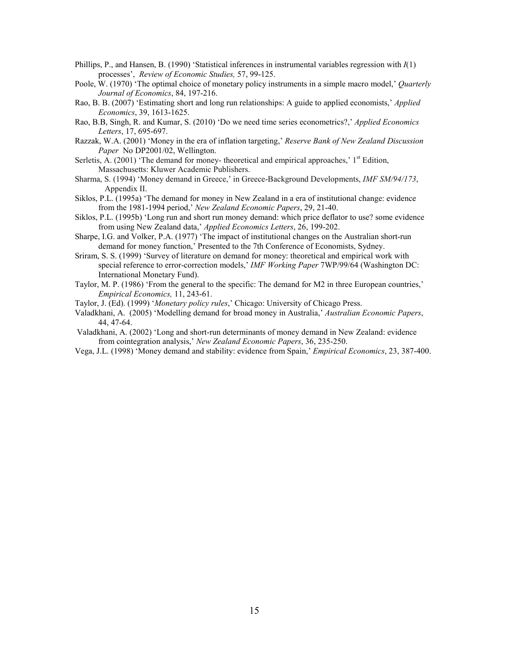- Phillips, P., and Hansen, B. (1990) 'Statistical inferences in instrumental variables regression with *I*(1) processes', *Review of Economic Studies,* 57, 99-125.
- Poole, W. (1970) 'The optimal choice of monetary policy instruments in a simple macro model,' *Quarterly Journal of Economics*, 84, 197-216.
- Rao, B. B. (2007) 'Estimating short and long run relationships: A guide to applied economists,' *Applied Economics*, 39, 1613-1625.
- Rao, B.B, Singh, R. and Kumar, S. (2010) 'Do we need time series econometrics?,' *Applied Economics Letters*, 17, 695-697.
- Razzak, W.A. (2001) 'Money in the era of inflation targeting,' *Reserve Bank of New Zealand Discussion Paper* No DP2001/02, Wellington.
- Serletis, A. (2001) 'The demand for money- theoretical and empirical approaches,'  $1<sup>st</sup>$  Edition, Massachusetts: Kluwer Academic Publishers.
- Sharma, S. (1994) 'Money demand in Greece,' in Greece-Background Developments, *IMF SM/94/173*, Appendix II.
- Siklos, P.L. (1995a) 'The demand for money in New Zealand in a era of institutional change: evidence from the 1981-1994 period,' *New Zealand Economic Papers*, 29, 21-40.
- Siklos, P.L. (1995b) 'Long run and short run money demand: which price deflator to use? some evidence from using New Zealand data,' *Applied Economics Letters*, 26, 199-202.
- Sharpe, I.G. and Volker, P.A. (1977) 'The impact of institutional changes on the Australian short-run demand for money function,' Presented to the 7th Conference of Economists, Sydney.
- Sriram, S. S. (1999) 'Survey of literature on demand for money: theoretical and empirical work with special reference to error-correction models,' *IMF Working Paper* 7WP/99/64 (Washington DC: International Monetary Fund).
- Taylor, M. P. (1986) 'From the general to the specific: The demand for M2 in three European countries,' *Empirical Economics,* 11, 243-61.

Taylor, J. (Ed). (1999) '*Monetary policy rules*,' Chicago: University of Chicago Press.

- Valadkhani, A. (2005) 'Modelling demand for broad money in Australia,' *Australian Economic Papers*, 44, 47-64.
- Valadkhani, A. (2002) 'Long and short-run determinants of money demand in New Zealand: evidence from cointegration analysis,' *New Zealand Economic Papers*, 36, 235-250.
- Vega, J.L. (1998) 'Money demand and stability: evidence from Spain,' *Empirical Economics*, 23, 387-400.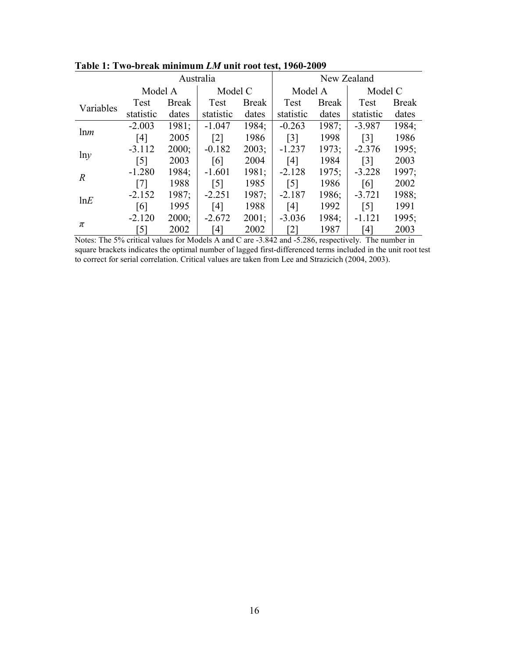|                |                   | Australia    |                   |              | New Zealand       |              |                   |              |
|----------------|-------------------|--------------|-------------------|--------------|-------------------|--------------|-------------------|--------------|
|                | Model A           |              | Model C           |              | Model A           |              | Model C           |              |
| Variables      | Test              | <b>Break</b> | Test              | <b>Break</b> | Test              | <b>Break</b> | Test              | <b>Break</b> |
|                | statistic         | dates        | statistic         | dates        | statistic         | dates        | statistic         | dates        |
| lnm            | $-2.003$          | 1981;        | $-1.047$          | 1984;        | $-0.263$          | 1987;        | $-3.987$          | 1984;        |
|                | [4]               | 2005         | $\lceil 2 \rceil$ | 1986         | $\lceil 3 \rceil$ | 1998         | $\lceil 3 \rceil$ | 1986         |
|                | $-3.112$          | 2000;        | $-0.182$          | 2003;        | $-1.237$          | 1973;        | $-2.376$          | 1995;        |
| lny            | $\lceil 5 \rceil$ | 2003         | [6]               | 2004         | [4]               | 1984         | $\lceil 3 \rceil$ | 2003         |
| $\overline{R}$ | $-1.280$          | 1984;        | $-1.601$          | 1981;        | $-2.128$          | 1975;        | $-3.228$          | 1997;        |
|                | $\lceil 7 \rceil$ | 1988         | $\lceil 5 \rceil$ | 1985         | $\lceil 5 \rceil$ | 1986         | [6]               | 2002         |
| lnE            | $-2.152$          | 1987;        | $-2.251$          | 1987;        | $-2.187$          | 1986;        | $-3.721$          | 1988;        |
|                | [6]               | 1995         | [4]               | 1988         | [4]               | 1992         | $\lceil 5 \rceil$ | 1991         |
|                | $-2.120$          | 2000;        | $-2.672$          | 2001;        | $-3.036$          | 1984;        | $-1.121$          | 1995;        |
| π              | $\lceil 5 \rceil$ | 2002         | '41               | 2002         | [2]               | 1987         | [4]               | 2003         |

 $\bf{Table 1: Two-breaking minimum}\ \textit{LM}$  unit root test, 1960-2009

Notes: The 5% critical values for Models A and C are -3.842 and -5.286, respectively. The number in square brackets indicates the optimal number of lagged first-differenced terms included in the unit root test to correct for serial correlation. Critical values are taken from Lee and Strazicich (2004, 2003).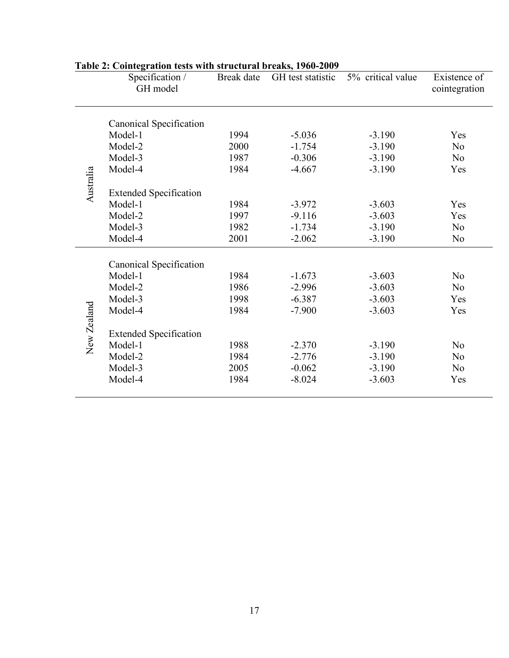|             | Specification /<br>GH model    | Break date | GH test statistic | 5% critical value | Existence of<br>cointegration |
|-------------|--------------------------------|------------|-------------------|-------------------|-------------------------------|
|             | Canonical Specification        |            |                   |                   |                               |
|             | Model-1                        | 1994       | $-5.036$          | $-3.190$          | Yes                           |
|             | Model-2                        | 2000       | $-1.754$          | $-3.190$          | N <sub>0</sub>                |
|             | Model-3                        | 1987       | $-0.306$          | $-3.190$          | N <sub>0</sub>                |
|             | Model-4                        | 1984       | $-4.667$          | $-3.190$          | Yes                           |
| Australia   |                                |            |                   |                   |                               |
|             | <b>Extended Specification</b>  |            |                   |                   |                               |
|             | Model-1                        | 1984       | $-3.972$          | $-3.603$          | Yes                           |
|             | Model-2                        | 1997       | $-9.116$          | $-3.603$          | Yes                           |
|             | Model-3                        | 1982       | $-1.734$          | $-3.190$          | N <sub>0</sub>                |
|             | Model-4                        | 2001       | $-2.062$          | $-3.190$          | N <sub>0</sub>                |
|             | <b>Canonical Specification</b> |            |                   |                   |                               |
|             | Model-1                        | 1984       | $-1.673$          | $-3.603$          | N <sub>o</sub>                |
|             | Model-2                        | 1986       | $-2.996$          | $-3.603$          | N <sub>0</sub>                |
|             | Model-3                        | 1998       | $-6.387$          | $-3.603$          | Yes                           |
|             | Model-4                        | 1984       | $-7.900$          | $-3.603$          | Yes                           |
|             |                                |            |                   |                   |                               |
| New Zealand | <b>Extended Specification</b>  |            |                   |                   |                               |
|             | Model-1                        | 1988       | $-2.370$          | $-3.190$          | N <sub>o</sub>                |
|             | Model-2                        | 1984       | $-2.776$          | $-3.190$          | N <sub>o</sub>                |
|             | Model-3                        | 2005       | $-0.062$          | $-3.190$          | N <sub>0</sub>                |
|             | Model-4                        | 1984       | $-8.024$          | $-3.603$          | Yes                           |
|             |                                |            |                   |                   |                               |

## Table 2: Cointegration tests with structural breaks, 1960-2009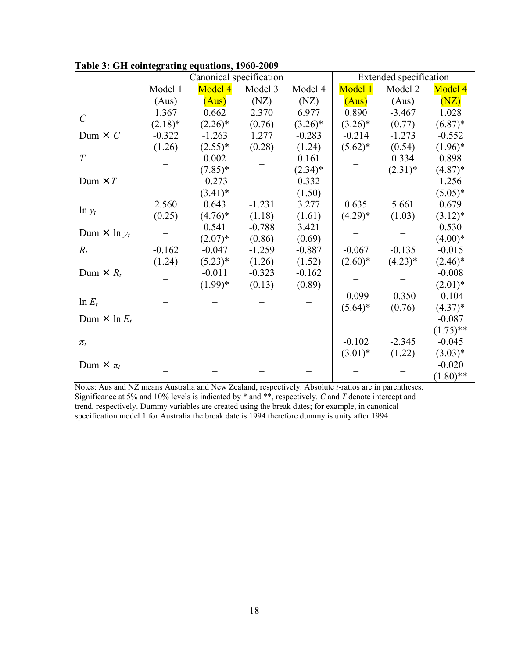|                         |            | Canonical specification |          | Extended specification |            |            |             |
|-------------------------|------------|-------------------------|----------|------------------------|------------|------------|-------------|
|                         | Model 1    | Model 4                 | Model 3  | Model 4                | Model 1    | Model 2    | Model 4     |
|                         | (Aus)      | (Aus)                   | (NZ)     | (NZ)                   | (Aus)      | (Aus)      | (NZ)        |
| $\mathcal{C}_{0}^{(n)}$ | 1.367      | 0.662                   | 2.370    | 6.977                  | 0.890      | $-3.467$   | 1.028       |
|                         | $(2.18)^*$ | $(2.26)^*$              | (0.76)   | $(3.26)^*$             | $(3.26)^*$ | (0.77)     | $(6.87)^*$  |
| Dum $\times C$          | $-0.322$   | $-1.263$                | 1.277    | $-0.283$               | $-0.214$   | $-1.273$   | $-0.552$    |
|                         | (1.26)     | $(2.55)^*$              | (0.28)   | (1.24)                 | $(5.62)^*$ | (0.54)     | $(1.96)^*$  |
| T                       |            | 0.002                   |          | 0.161                  |            | 0.334      | 0.898       |
|                         |            | $(7.85)^*$              |          | $(2.34)^*$             |            | $(2.31)^*$ | $(4.87)^*$  |
| Dum $\times T$          |            | $-0.273$                |          | 0.332                  |            |            | 1.256       |
|                         |            | $(3.41)^*$              |          | (1.50)                 |            |            | $(5.05)^*$  |
|                         | 2.560      | 0.643                   | $-1.231$ | 3.277                  | 0.635      | 5.661      | 0.679       |
| $\ln y_t$               | (0.25)     | $(4.76)^*$              | (1.18)   | (1.61)                 | $(4.29)*$  | (1.03)     | $(3.12)^*$  |
| Dum $\times$ ln $y_t$   |            | 0.541                   | $-0.788$ | 3.421                  |            |            | 0.530       |
|                         |            | $(2.07)^*$              | (0.86)   | (0.69)                 |            |            | $(4.00)*$   |
| $R_t$                   | $-0.162$   | $-0.047$                | $-1.259$ | $-0.887$               | $-0.067$   | $-0.135$   | $-0.015$    |
|                         | (1.24)     | $(5.23)*$               | (1.26)   | (1.52)                 | $(2.60)*$  | $(4.23)*$  | $(2.46)^*$  |
| Dum $\times R_t$        |            | $-0.011$                | $-0.323$ | $-0.162$               |            |            | $-0.008$    |
|                         |            | $(1.99)*$               | (0.13)   | (0.89)                 |            |            | $(2.01)^*$  |
| $\ln E_t$               |            |                         |          |                        | $-0.099$   | $-0.350$   | $-0.104$    |
|                         |            |                         |          |                        | $(5.64)^*$ | (0.76)     | $(4.37)^*$  |
| Dum $\times$ ln $E_t$   |            |                         |          |                        |            |            | $-0.087$    |
|                         |            |                         |          |                        |            |            | $(1.75)$ ** |
| $\pi_t$                 |            |                         |          |                        | $-0.102$   | $-2.345$   | $-0.045$    |
|                         |            |                         |          |                        | $(3.01)*$  | (1.22)     | $(3.03)*$   |
| Dum $\times \pi_t$      |            |                         |          |                        |            |            | $-0.020$    |
|                         |            |                         |          |                        |            |            | $(1.80)$ ** |

Table 3: GH cointegrating equations, 1960-2009

Notes: Aus and NZ means Australia and New Zealand, respectively. Absolute t-ratios are in parentheses. Significance at 5% and 10% levels is indicated by  $*$  and  $**$ , respectively. C and T denote intercept and trend, respectively. Dummy variables are created using the break dates; for example, in canonical specification model 1 for Australia the break date is 1994 therefore dummy is unity after 1994.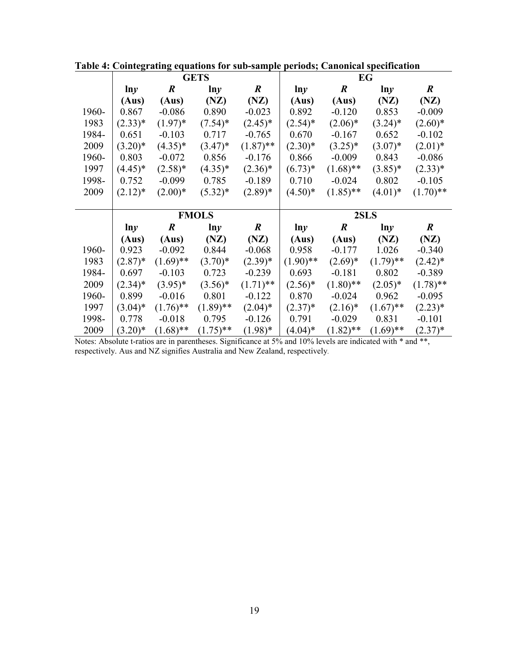|       |            |                  | <b>GETS</b>  |                  | EG          |                  |             |                  |
|-------|------------|------------------|--------------|------------------|-------------|------------------|-------------|------------------|
|       | ln y       | $\boldsymbol{R}$ | $\ln y$      | $\boldsymbol{R}$ | ln y        | $\boldsymbol{R}$ | ln y        | $\boldsymbol{R}$ |
|       | (Aus)      | (Aus)            | (NZ)         | (NZ)             | (Aus)       | (Aus)            | (NZ)        | (NZ)             |
| 1960- | 0.867      | $-0.086$         | 0.890        | $-0.023$         | 0.892       | $-0.120$         | 0.853       | $-0.009$         |
| 1983  | $(2.33)*$  | $(1.97)^*$       | $(7.54)^*$   | $(2.45)^*$       | $(2.54)^*$  | $(2.06)^*$       | $(3.24)^*$  | $(2.60)*$        |
| 1984- | 0.651      | $-0.103$         | 0.717        | $-0.765$         | 0.670       | $-0.167$         | 0.652       | $-0.102$         |
| 2009  | $(3.20)*$  | $(4.35)^*$       | $(3.47)^*$   | $(1.87)$ **      | $(2.30)*$   | $(3.25)^*$       | $(3.07)^*$  | $(2.01)^*$       |
| 1960- | 0.803      | $-0.072$         | 0.856        | $-0.176$         | 0.866       | $-0.009$         | 0.843       | $-0.086$         |
| 1997  | $(4.45)^*$ | $(2.58)^*$       | $(4.35)^*$   | $(2.36)^*$       | $(6.73)*$   | $(1.68)$ **      | $(3.85)^*$  | $(2.33)*$        |
| 1998- | 0.752      | $-0.099$         | 0.785        | $-0.189$         | 0.710       | $-0.024$         | 0.802       | $-0.105$         |
| 2009  | $(2.12)^*$ | $(2.00)*$        | $(5.32)^*$   | $(2.89)*$        | $(4.50)*$   | $(1.85)$ **      | $(4.01)*$   | $(1.70)$ **      |
|       |            |                  |              |                  |             |                  |             |                  |
|       |            |                  |              |                  |             |                  |             |                  |
|       |            |                  | <b>FMOLS</b> |                  |             |                  | 2SLS        |                  |
|       | ln y       | $\boldsymbol{R}$ | lny          | $\boldsymbol{R}$ | lny         | $\boldsymbol{R}$ | lny         | $\boldsymbol{R}$ |
|       | (Aus)      | (Aus)            | (NZ)         | (NZ)             | (Aus)       | (Aus)            | (NZ)        | (NZ)             |
| 1960- | 0.923      | $-0.092$         | 0.844        | $-0.068$         | 0.958       | $-0.177$         | 1.026       | $-0.340$         |
| 1983  | $(2.87)^*$ | $(1.69)$ **      | $(3.70)*$    | $(2.39)*$        | $(1.90)$ ** | $(2.69)*$        | $(1.79)$ ** | $(2.42)^*$       |
| 1984- | 0.697      | $-0.103$         | 0.723        | $-0.239$         | 0.693       | $-0.181$         | 0.802       | $-0.389$         |
| 2009  | $(2.34)^*$ | $(3.95)*$        | $(3.56)^*$   | $(1.71)$ **      | $(2.56)^*$  | $(1.80)$ **      | $(2.05)*$   | $(1.78)$ **      |
| 1960- | 0.899      | $-0.016$         | 0.801        | $-0.122$         | 0.870       | $-0.024$         | 0.962       | $-0.095$         |
| 1997  | $(3.04)^*$ | $(1.76)$ **      | $(1.89)$ **  | $(2.04)^*$       | $(2.37)^*$  | $(2.16)^*$       | $(1.67)$ ** | $(2.23)^*$       |
| 1998- | 0.778      | $-0.018$         | 0.795        | $-0.126$         | 0.791       | $-0.029$         | 0.831       | $-0.101$         |

Table 4: Cointegrating equations for sub-sample periods; Canonical specification

Notes: Absolute t-ratios are in parentheses. Significance at 5% and 10% levels are indicated with \* and \*\*, respectively. Aus and NZ signifies Australia and New Zealand, respectively.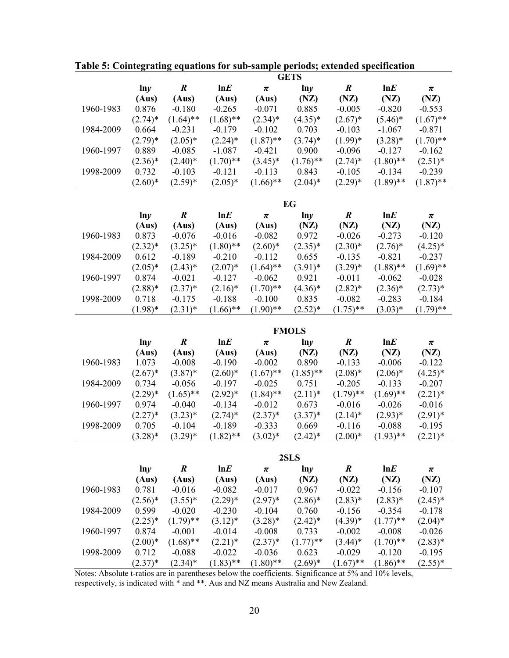|           |                |                   |                   |                   | <b>GETS</b>   |                  |                  |                  |
|-----------|----------------|-------------------|-------------------|-------------------|---------------|------------------|------------------|------------------|
|           | lny            | $\boldsymbol{R}$  | lnE               | $\pmb{\pi}$       | lny           | $\boldsymbol{R}$ | lnE              | π                |
|           | (Aus)          | (Aus)             | (Aus)             | (Aus)             | (NZ)          | (NZ)             | (NZ)             | (NZ)             |
| 1960-1983 | 0.876          | $-0.180$          | $-0.265$          | $-0.071$          | 0.885         | $-0.005$         | $-0.820$         | $-0.553$         |
|           | $(2.74)^*$     | $(1.64)$ **       | $(1.68)$ **       | $(2.34)^*$        | $(4.35)^*$    | $(2.67)^*$       | $(5.46)^*$       | $(1.67)$ **      |
| 1984-2009 | 0.664          | $-0.231$          | $-0.179$          | $-0.102$          | 0.703         | $-0.103$         | $-1.067$         | $-0.871$         |
|           | $(2.79)^*$     | $(2.05)*$         | $(2.24)$ *        | $(1.87)$ **       | $(3.74)^*$    | $(1.99)*$        | $(3.28)*$        | $(1.70)$ **      |
| 1960-1997 | 0.889          | $-0.085$          | $-1.087$          | $-0.421$          | 0.900         | $-0.096$         | $-0.127$         | $-0.162$         |
|           | $(2.36)^*$     | $(2.40)^*$        | $(1.70)$ **       | $(3.45)^*$        | $(1.76)$ **   | $(2.74)^*$       | $(1.80)$ **      | $(2.51)^*$       |
| 1998-2009 | 0.732          | $-0.103$          | $-0.121$          | $-0.113$          | 0.843         | $-0.105$         | $-0.134$         | $-0.239$         |
|           | $(2.60)*$      | $(2.59)*$         | $(2.05)*$         | $(1.66)$ **       | $(2.04)^*$    | $(2.29)^*$       | $(1.89)$ **      | $(1.87)$ **      |
|           |                |                   |                   |                   |               |                  |                  |                  |
|           |                |                   |                   |                   | EG            |                  |                  |                  |
|           | $\ln y$        | $\boldsymbol{R}$  | lnE               | $\pmb{\pi}$       | lny           | $\boldsymbol{R}$ | lnE              | $\pmb{\pi}$      |
|           | (Aus)          | (Aus)             | (Aus)             | (Aus)             | (NZ)          | (NZ)             | (NZ)             | (NZ)             |
| 1960-1983 | 0.873          | $-0.076$          | $-0.016$          | $-0.082$          | 0.972         | $-0.026$         | $-0.273$         | $-0.120$         |
|           | $(2.32)^*$     | $(3.25)^*$        | $(1.80)$ **       | $(2.60)*$         | $(2.35)^*$    | $(2.30)*$        | $(2.76)^*$       | $(4.25)^*$       |
| 1984-2009 | 0.612          | $-0.189$          | $-0.210$          | $-0.112$          | 0.655         | $-0.135$         | $-0.821$         | $-0.237$         |
|           | $(2.05)^*$     | $(2.43)*$         | $(2.07)^*$        | $(1.64)$ **       | $(3.91)^*$    | $(3.29)*$        | $(1.88)$ **      | $(1.69)$ **      |
| 1960-1997 | 0.874          | $-0.021$          | $-0.127$          | $-0.062$          | 0.921         | $-0.011$         | $-0.062$         | $-0.028$         |
|           | $(2.88)*$      | $(2.37)^*$        | $(2.16)^*$        | $(1.70)$ **       | $(4.36)$ *    | $(2.82)^*$       | $(2.36)*$        | $(2.73)*$        |
| 1998-2009 | 0.718          | $-0.175$          | $-0.188$          | $-0.100$          | 0.835         | $-0.082$         | $-0.283$         | $-0.184$         |
|           | $(1.98)*$      | $(2.31)^*$        | $(1.66)$ **       | $(1.90)$ **       | $(2.52)^*$    | $(1.75)$ **      | $(3.03)*$        | $(1.79)$ **      |
|           |                |                   |                   |                   |               |                  |                  |                  |
|           |                |                   |                   |                   |               |                  |                  |                  |
|           |                |                   |                   |                   | <b>FMOLS</b>  |                  |                  |                  |
|           | lny            | $\boldsymbol{R}$  | lnE               | $\pmb{\pi}$       | lny           | $\boldsymbol{R}$ | lnE              | $\pmb{\pi}$      |
|           | (Aus)          | (Aus)             | (Aus)             | (Aus)             | (NZ)          | (NZ)             | (NZ)             | (NZ)             |
| 1960-1983 | 1.073          | $-0.008$          | $-0.190$          | $-0.002$          | 0.890         | $-0.133$         | $-0.006$         | $-0.122$         |
|           | $(2.67)^*$     | $(3.87)^*$        | $(2.60)*$         | $(1.67)$ **       | $(1.85)$ **   | $(2.08)*$        | $(2.06)*$        | $(4.25)^*$       |
| 1984-2009 | 0.734          | $-0.056$          | $-0.197$          | $-0.025$          | 0.751         | $-0.205$         | $-0.133$         | $-0.207$         |
|           | $(2.29)^*$     | $(1.65)$ **       | $(2.92)*$         | $(1.84)$ **       | $(2.11)^*$    | $(1.79)$ **      | $(1.69)$ **      | $(2.21)$ *       |
| 1960-1997 | 0.974          | $-0.040$          | $-0.134$          | $-0.012$          | 0.673         | $-0.016$         | $-0.026$         | $-0.016$         |
|           | $(2.27)^*$     | $(3.23)*$         | $(2.74)$ *        | $(2.37)^*$        | $(3.37)^*$    | $(2.14)^*$       | $(2.93)*$        | $(2.91)^*$       |
| 1998-2009 | 0.705          | $-0.104$          | $-0.189$          | $-0.333$          | 0.669         | $-0.116$         | $-0.088$         | $-0.195$         |
|           | $(3.28)^*$     | $(3.29)^*$        | $(1.82)$ **       | $(3.02)*$         | $(2.42)^*$    | $(2.00)*$        | $(1.93)$ **      | $(2.21)^*$       |
|           |                |                   |                   |                   |               |                  |                  |                  |
|           |                | $\boldsymbol{R}$  | lnE               | $\pmb{\pi}$       | 2SLS<br>ln y  | $\boldsymbol{R}$ | lnE              | $\pmb{\pi}$      |
|           | $\ln y$        |                   |                   |                   |               |                  |                  |                  |
| 1960-1983 | (Aus)<br>0.781 | (Aus)<br>$-0.016$ | (Aus)<br>$-0.082$ | (Aus)<br>$-0.017$ | (NZ)<br>0.967 | (NZ)<br>$-0.022$ | (NZ)<br>$-0.156$ | (NZ)<br>$-0.107$ |
|           | $(2.56)^*$     | $(3.55)^*$        | $(2.29)^*$        | $(2.97)^*$        | $(2.86)^*$    | $(2.83)*$        | $(2.83)*$        | $(2.45)^*$       |
| 1984-2009 | 0.599          | $-0.020$          | $-0.230$          | $-0.104$          | 0.760         | $-0.156$         | $-0.354$         | $-0.178$         |
|           | $(2.25)^*$     | $(1.79)$ **       | $(3.12)^*$        | $(3.28)$ *        | $(2.42)^*$    | $(4.39)*$        | $(1.77)$ **      | $(2.04)^*$       |
| 1960-1997 | 0.874          | $-0.001$          | $-0.014$          | $-0.008$          | 0.733         | $-0.002$         | $-0.008$         | $-0.026$         |
|           | $(2.00)*$      | $(1.68)$ **       | $(2.21)$ *        | $(2.37)^*$        | $(1.77)$ **   | $(3.44)$ *       | $(1.70)$ **      | $(2.83)*$        |
| 1998-2009 | 0.712          | $-0.088$          | $-0.022$          | $-0.036$          | 0.623         | $-0.029$         | $-0.120$         | $-0.195$         |

Table 5: Cointegrating equations for sub-sample periods; extended specification

Notes: Absolute t-ratios are in parentheses below the coefficients. Significance at 5% and 10% levels, respectively, is indicated with \* and \*\*. Aus and NZ means Australia and New Zealand.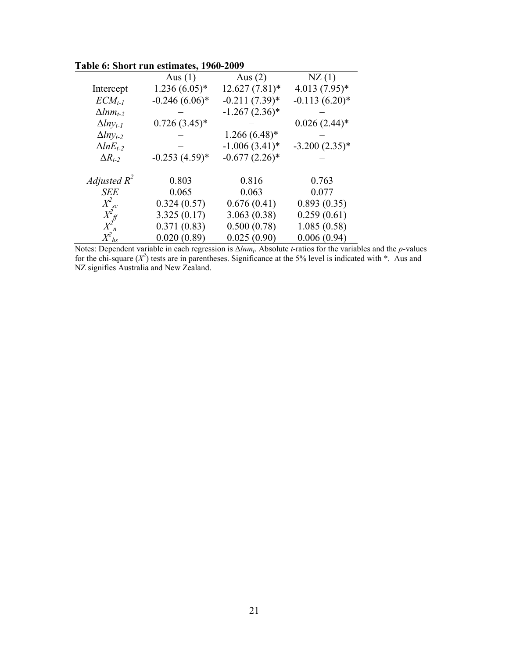|                                           | apit $\theta$ . Short fun estimates, 1700-2007 |                  |                  |
|-------------------------------------------|------------------------------------------------|------------------|------------------|
|                                           | Aus $(1)$                                      | Aus $(2)$        | NZ(1)            |
| Intercept                                 | $1.236(6.05)*$                                 | $12.627(7.81)$ * | $4.013(7.95)*$   |
| $ECM_{t-1}$                               | $-0.246(6.06)*$                                | $-0.211(7.39)^*$ | $-0.113(6.20)$ * |
| $\Delta l$ nm <sub>t-2</sub>              |                                                | $-1.267(2.36)$ * |                  |
| $\Delta l n y_{t-l}$                      | $0.726(3.45)*$                                 |                  | $0.026(2.44)$ *  |
| $\Delta lny_{t-2}$                        |                                                | $1.266(6.48)$ *  |                  |
| $\Delta lnE_{t-2}$                        |                                                | $-1.006(3.41)$ * | $-3.200(2.35)*$  |
| $\Delta R_{t-2}$                          | $-0.253(4.59)$ *                               | $-0.677(2.26)$ * |                  |
| Adjusted $R^2$                            | 0.803                                          | 0.816            | 0.763            |
| <b>SEE</b>                                | 0.065                                          | 0.063            | 0.077            |
| $X^2_{sc}$                                | 0.324(0.57)                                    | 0.676(0.41)      | 0.893(0.35)      |
| $\frac{X_{\text{eff}}^2}{X_{\text{n}}^2}$ | 3.325(0.17)                                    | 3.063(0.38)      | 0.259(0.61)      |
|                                           | 0.371(0.83)                                    | 0.500(0.78)      | 1.085(0.58)      |
| $X^{\!\mathbb{Z}}{}_{h\!s}$               | 0.020(0.89)                                    | 0.025(0.90)      | 0.006(0.94)      |

**Table 6: Short run estimates, 1960-2009** 

Notes: Dependent variable in each regression is ∆*lnm<sup>t</sup>* . Absolute *t*-ratios for the variables and the *p*-values for the chi-square  $(X^2)$  tests are in parentheses. Significance at the 5% level is indicated with  $*$ . Aus and NZ signifies Australia and New Zealand.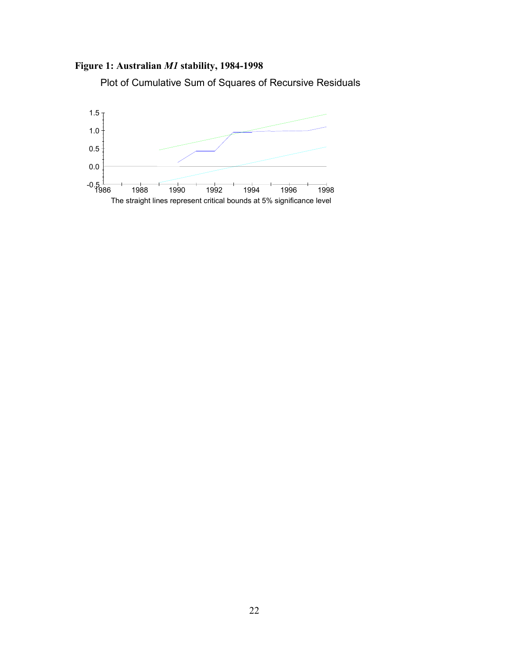## Figure 1: Australian M1 stability, 1984-1998

Plot of Cumulative Sum of Squares of Recursive Residuals

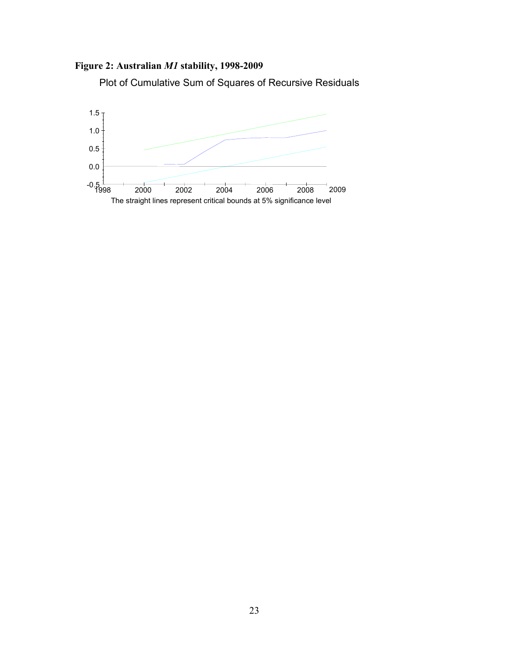

Plot of Cumulative Sum of Squares of Recursive Residuals

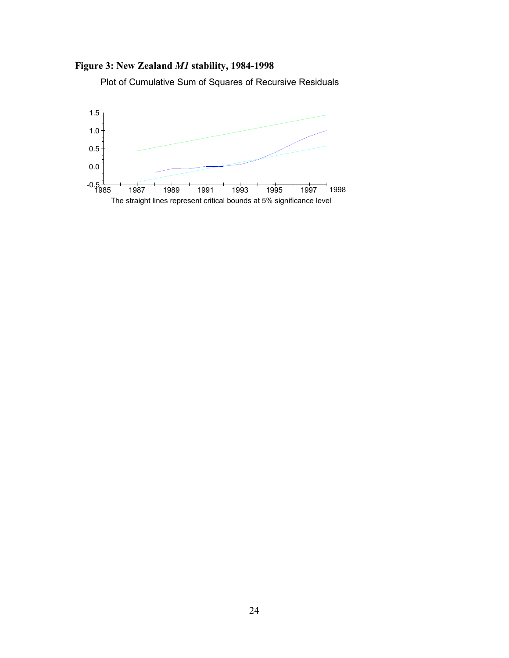## Figure 3: New Zealand M1 stability, 1984-1998

Plot of Cumulative Sum of Squares of Recursive Residuals